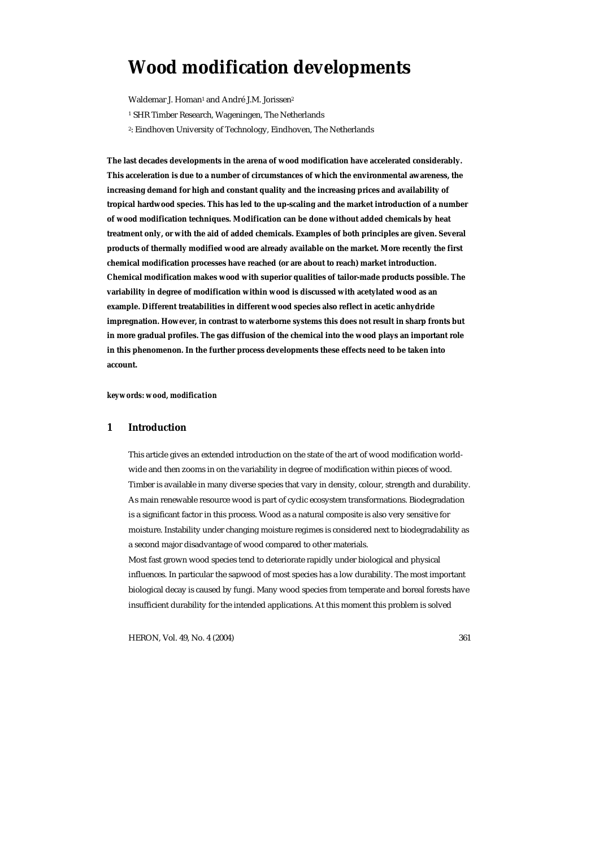# **Wood modification developments**

Waldemar J. Homan<sup>1</sup> and André J.M. Jorissen<sup>2</sup>

- <sup>1</sup> SHR Timber Research, Wageningen, The Netherlands
- 2: Eindhoven University of Technology, Eindhoven, The Netherlands

**The last decades developments in the arena of wood modification have accelerated considerably. This acceleration is due to a number of circumstances of which the environmental awareness, the increasing demand for high and constant quality and the increasing prices and availability of tropical hardwood species. This has led to the up-scaling and the market introduction of a number of wood modification techniques. Modification can be done without added chemicals by heat treatment only, or with the aid of added chemicals. Examples of both principles are given. Several products of thermally modified wood are already available on the market. More recently the first chemical modification processes have reached (or are about to reach) market introduction. Chemical modification makes wood with superior qualities of tailor-made products possible. The variability in degree of modification within wood is discussed with acetylated wood as an example. Different treatabilities in different wood species also reflect in acetic anhydride impregnation. However, in contrast to waterborne systems this does not result in sharp fronts but in more gradual profiles. The gas diffusion of the chemical into the wood plays an important role in this phenomenon. In the further process developments these effects need to be taken into account.** 

*keywords: wood, modification* 

# **1 Introduction**

This article gives an extended introduction on the state of the art of wood modification worldwide and then zooms in on the variability in degree of modification within pieces of wood. Timber is available in many diverse species that vary in density, colour, strength and durability. As main renewable resource wood is part of cyclic ecosystem transformations. Biodegradation is a significant factor in this process. Wood as a natural composite is also very sensitive for moisture. Instability under changing moisture regimes is considered next to biodegradability as a second major disadvantage of wood compared to other materials. Most fast grown wood species tend to deteriorate rapidly under biological and physical influences. In particular the sapwood of most species has a low durability. The most important biological decay is caused by fungi. Many wood species from temperate and boreal forests have insufficient durability for the intended applications. At this moment this problem is solved

HERON, Vol. 49, No. 4 (2004) 361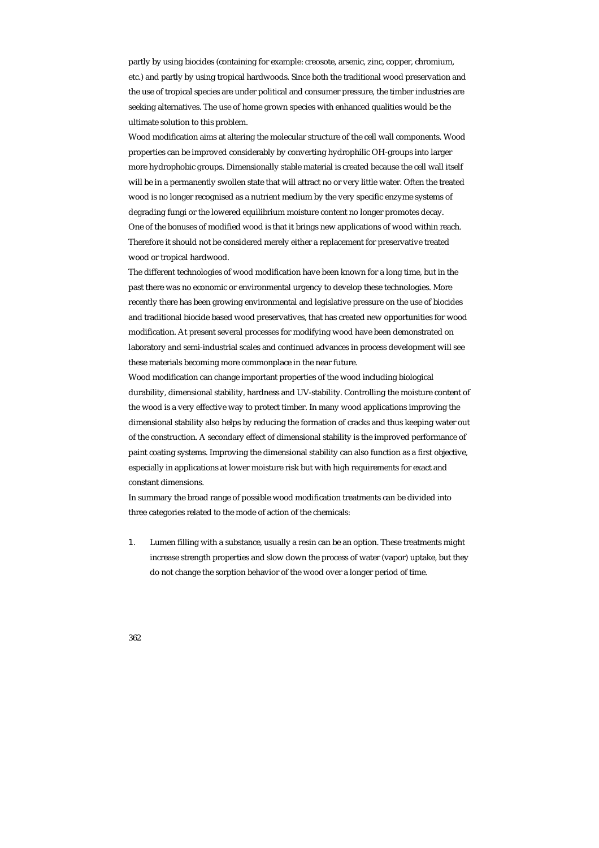partly by using biocides (containing for example: creosote, arsenic, zinc, copper, chromium, etc.) and partly by using tropical hardwoods. Since both the traditional wood preservation and the use of tropical species are under political and consumer pressure, the timber industries are seeking alternatives. The use of home grown species with enhanced qualities would be the ultimate solution to this problem.

Wood modification aims at altering the molecular structure of the cell wall components. Wood properties can be improved considerably by converting hydrophilic OH-groups into larger more hydrophobic groups. Dimensionally stable material is created because the cell wall itself will be in a permanently swollen state that will attract no or very little water. Often the treated wood is no longer recognised as a nutrient medium by the very specific enzyme systems of degrading fungi or the lowered equilibrium moisture content no longer promotes decay. One of the bonuses of modified wood is that it brings new applications of wood within reach. Therefore it should not be considered merely either a replacement for preservative treated wood or tropical hardwood.

The different technologies of wood modification have been known for a long time, but in the past there was no economic or environmental urgency to develop these technologies. More recently there has been growing environmental and legislative pressure on the use of biocides and traditional biocide based wood preservatives, that has created new opportunities for wood modification. At present several processes for modifying wood have been demonstrated on laboratory and semi-industrial scales and continued advances in process development will see these materials becoming more commonplace in the near future.

Wood modification can change important properties of the wood including biological durability, dimensional stability, hardness and UV-stability. Controlling the moisture content of the wood is a very effective way to protect timber. In many wood applications improving the dimensional stability also helps by reducing the formation of cracks and thus keeping water out of the construction. A secondary effect of dimensional stability is the improved performance of paint coating systems. Improving the dimensional stability can also function as a first objective, especially in applications at lower moisture risk but with high requirements for exact and constant dimensions.

In summary the broad range of possible wood modification treatments can be divided into three categories related to the mode of action of the chemicals:

1. Lumen filling with a substance, usually a resin can be an option. These treatments might increase strength properties and slow down the process of water (vapor) uptake, but they do not change the sorption behavior of the wood over a longer period of time.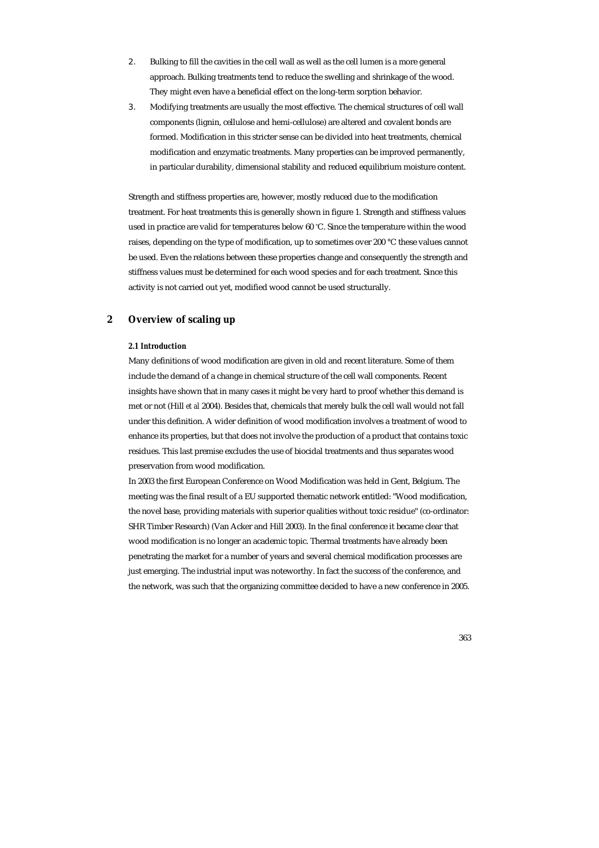- 2. Bulking to fill the cavities in the cell wall as well as the cell lumen is a more general approach. Bulking treatments tend to reduce the swelling and shrinkage of the wood. They might even have a beneficial effect on the long-term sorption behavior.
- 3. Modifying treatments are usually the most effective. The chemical structures of cell wall components (lignin, cellulose and hemi-cellulose) are altered and covalent bonds are formed. Modification in this stricter sense can be divided into heat treatments, chemical modification and enzymatic treatments. Many properties can be improved permanently, in particular durability, dimensional stability and reduced equilibrium moisture content.

Strength and stiffness properties are, however, mostly reduced due to the modification treatment. For heat treatments this is generally shown in figure 1. Strength and stiffness values used in practice are valid for temperatures below 60 ° C. Since the temperature within the wood raises, depending on the type of modification, up to sometimes over 200 °C these values cannot be used. Even the relations between these properties change and consequently the strength and stiffness values must be determined for each wood species and for each treatment. Since this activity is not carried out yet, modified wood cannot be used structurally.

# **2 Overview of scaling up**

# *2.1 Introduction*

Many definitions of wood modification are given in old and recent literature. Some of them include the demand of a change in chemical structure of the cell wall components. Recent insights have shown that in many cases it might be very hard to proof whether this demand is met or not (Hill *et al* 2004). Besides that, chemicals that merely bulk the cell wall would not fall under this definition. A wider definition of wood modification involves a treatment of wood to enhance its properties, but that does not involve the production of a product that contains toxic residues. This last premise excludes the use of biocidal treatments and thus separates wood preservation from wood modification.

In 2003 the first European Conference on Wood Modification was held in Gent, Belgium. The meeting was the final result of a EU supported thematic network entitled: "Wood modification, the novel base, providing materials with superior qualities without toxic residue" (co-ordinator: SHR Timber Research) (Van Acker and Hill 2003). In the final conference it became clear that wood modification is no longer an academic topic. Thermal treatments have already been penetrating the market for a number of years and several chemical modification processes are just emerging. The industrial input was noteworthy. In fact the success of the conference, and the network, was such that the organizing committee decided to have a new conference in 2005.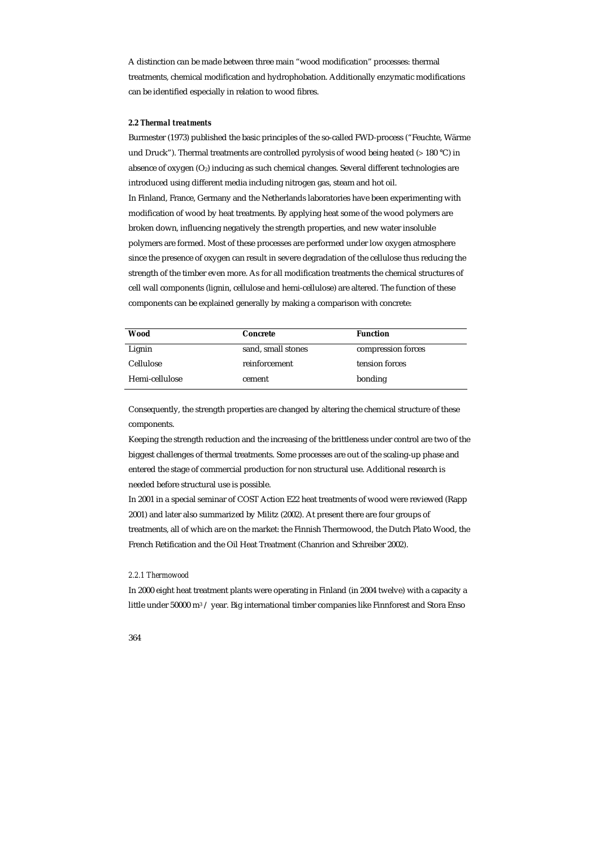A distinction can be made between three main "wood modification" processes: thermal treatments, chemical modification and hydrophobation. Additionally enzymatic modifications can be identified especially in relation to wood fibres.

# *2.2 Thermal treatments*

Burmester (1973) published the basic principles of the so-called FWD-process ("Feuchte, Wärme und Druck"). Thermal treatments are controlled pyrolysis of wood being heated (> 180 °C) in absence of oxygen (O<sub>2</sub>) inducing as such chemical changes. Several different technologies are introduced using different media including nitrogen gas, steam and hot oil. In Finland, France, Germany and the Netherlands laboratories have been experimenting with modification of wood by heat treatments. By applying heat some of the wood polymers are broken down, influencing negatively the strength properties, and new water insoluble polymers are formed. Most of these processes are performed under low oxygen atmosphere since the presence of oxygen can result in severe degradation of the cellulose thus reducing the strength of the timber even more. As for all modification treatments the chemical structures of cell wall components (lignin, cellulose and hemi-cellulose) are altered. The function of these components can be explained generally by making a comparison with concrete:

| Wood           | <b>Concrete</b>    | <b>Function</b>    |
|----------------|--------------------|--------------------|
| Lignin         | sand, small stones | compression forces |
| Cellulose      | reinforcement      | tension forces     |
| Hemi-cellulose | cement             | bonding            |

Consequently, the strength properties are changed by altering the chemical structure of these components.

Keeping the strength reduction and the increasing of the brittleness under control are two of the biggest challenges of thermal treatments. Some processes are out of the scaling-up phase and entered the stage of commercial production for non structural use. Additional research is needed before structural use is possible.

In 2001 in a special seminar of COST Action E22 heat treatments of wood were reviewed (Rapp 2001) and later also summarized by Militz (2002). At present there are four groups of treatments, all of which are on the market: the Finnish Thermowood, the Dutch Plato Wood, the French Retification and the Oil Heat Treatment (Chanrion and Schreiber 2002).

### *2.2.1 Thermowood*

In 2000 eight heat treatment plants were operating in Finland (in 2004 twelve) with a capacity a little under 50000 m<sup>3</sup> / year. Big international timber companies like Finnforest and Stora Enso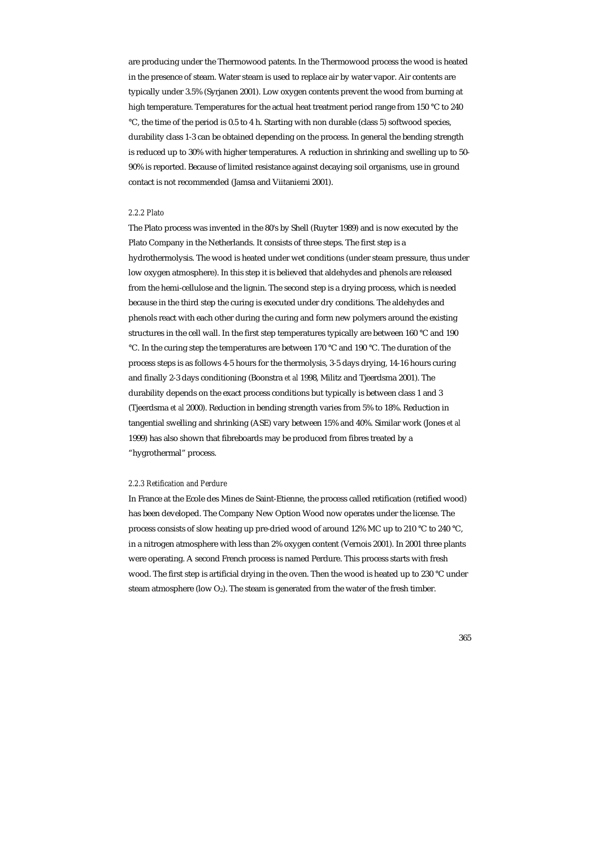are producing under the Thermowood patents. In the Thermowood process the wood is heated in the presence of steam. Water steam is used to replace air by water vapor. Air contents are typically under 3.5% (Syrjanen 2001). Low oxygen contents prevent the wood from burning at high temperature. Temperatures for the actual heat treatment period range from 150 °C to 240 °C, the time of the period is 0.5 to 4 h. Starting with non durable (class 5) softwood species, durability class 1-3 can be obtained depending on the process. In general the bending strength is reduced up to 30% with higher temperatures. A reduction in shrinking and swelling up to 50- 90% is reported. Because of limited resistance against decaying soil organisms, use in ground contact is not recommended (Jamsa and Viitaniemi 2001).

# *2.2.2 Plato*

The Plato process was invented in the 80's by Shell (Ruyter 1989) and is now executed by the Plato Company in the Netherlands. It consists of three steps. The first step is a hydrothermolysis. The wood is heated under wet conditions (under steam pressure, thus under low oxygen atmosphere). In this step it is believed that aldehydes and phenols are released from the hemi-cellulose and the lignin. The second step is a drying process, which is needed because in the third step the curing is executed under dry conditions. The aldehydes and phenols react with each other during the curing and form new polymers around the existing structures in the cell wall. In the first step temperatures typically are between 160 °C and 190 °C. In the curing step the temperatures are between 170 °C and 190 °C. The duration of the process steps is as follows 4-5 hours for the thermolysis, 3-5 days drying, 14-16 hours curing and finally 2-3 days conditioning (Boonstra *et al* 1998, Militz and Tjeerdsma 2001). The durability depends on the exact process conditions but typically is between class 1 and 3 (Tjeerdsma *et al* 2000). Reduction in bending strength varies from 5% to 18%. Reduction in tangential swelling and shrinking (ASE) vary between 15% and 40%. Similar work (Jones *et al* 1999) has also shown that fibreboards may be produced from fibres treated by a "hygrothermal" process.

# *2.2.3 Retification and Perdure*

In France at the Ecole des Mines de Saint-Etienne, the process called retification (retified wood) has been developed. The Company New Option Wood now operates under the license. The process consists of slow heating up pre-dried wood of around 12% MC up to 210 °C to 240 °C, in a nitrogen atmosphere with less than 2% oxygen content (Vernois 2001). In 2001 three plants were operating. A second French process is named Perdure. This process starts with fresh wood. The first step is artificial drying in the oven. Then the wood is heated up to 230 °C under steam atmosphere (low  $O_2$ ). The steam is generated from the water of the fresh timber.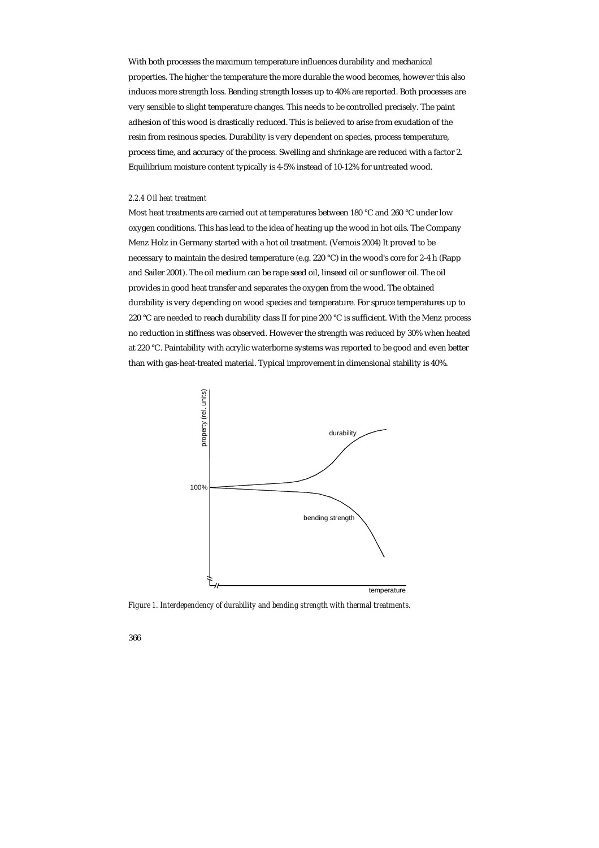With both processes the maximum temperature influences durability and mechanical properties. The higher the temperature the more durable the wood becomes, however this also induces more strength loss. Bending strength losses up to 40% are reported. Both processes are very sensible to slight temperature changes. This needs to be controlled precisely. The paint adhesion of this wood is drastically reduced. This is believed to arise from exudation of the resin from resinous species. Durability is very dependent on species, process temperature, process time, and accuracy of the process. Swelling and shrinkage are reduced with a factor 2. Equilibrium moisture content typically is 4-5% instead of 10-12% for untreated wood.

# *2.2.4 Oil heat treatment*

Most heat treatments are carried out at temperatures between 180 °C and 260 °C under low oxygen conditions. This has lead to the idea of heating up the wood in hot oils. The Company Menz Holz in Germany started with a hot oil treatment. (Vernois 2004) It proved to be necessary to maintain the desired temperature (e.g. 220 °C) in the wood's core for 2-4 h (Rapp and Sailer 2001). The oil medium can be rape seed oil, linseed oil or sunflower oil. The oil provides in good heat transfer and separates the oxygen from the wood. The obtained durability is very depending on wood species and temperature. For spruce temperatures up to 220 °C are needed to reach durability class II for pine 200 °C is sufficient. With the Menz process no reduction in stiffness was observed. However the strength was reduced by 30% when heated at 220 °C. Paintability with acrylic waterborne systems was reported to be good and even better than with gas-heat-treated material. Typical improvement in dimensional stability is 40%.



*Figure 1. Interdependency of durability and bending strength with thermal treatments.*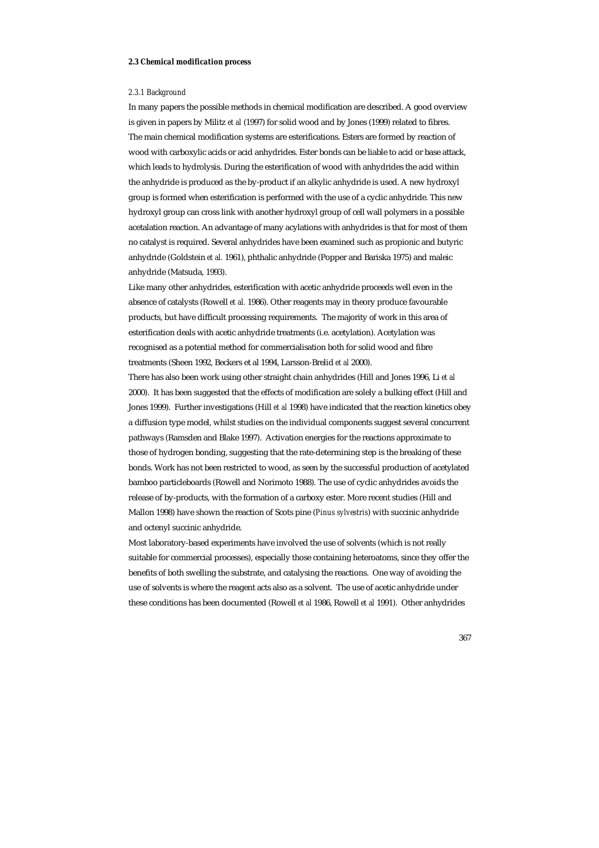#### *2.3 Chemical modification process*

#### *2.3.1 Background*

In many papers the possible methods in chemical modification are described. A good overview is given in papers by Militz *et al* (1997) for solid wood and by Jones (1999) related to fibres. The main chemical modification systems are esterifications. Esters are formed by reaction of wood with carboxylic acids or acid anhydrides. Ester bonds can be liable to acid or base attack, which leads to hydrolysis. During the esterification of wood with anhydrides the acid within the anhydride is produced as the by-product if an alkylic anhydride is used. A new hydroxyl group is formed when esterification is performed with the use of a cyclic anhydride. This new hydroxyl group can cross link with another hydroxyl group of cell wall polymers in a possible acetalation reaction. An advantage of many acylations with anhydrides is that for most of them no catalyst is required. Several anhydrides have been examined such as propionic and butyric anhydride (Goldstein *et al.* 1961), phthalic anhydride (Popper and Bariska 1975) and maleic anhydride (Matsuda, 1993).

Like many other anhydrides, esterification with acetic anhydride proceeds well even in the absence of catalysts (Rowell *et al.* 1986). Other reagents may in theory produce favourable products, but have difficult processing requirements. The majority of work in this area of esterification deals with acetic anhydride treatments (i.e. acetylation). Acetylation was recognised as a potential method for commercialisation both for solid wood and fibre treatments (Sheen 1992, Beckers et al 1994, Larsson-Brelid *et al* 2000).

There has also been work using other straight chain anhydrides (Hill and Jones 1996, Li *et al* 2000). It has been suggested that the effects of modification are solely a bulking effect (Hill and Jones 1999). Further investigations (Hill *et al* 1998) have indicated that the reaction kinetics obey a diffusion type model, whilst studies on the individual components suggest several concurrent pathways (Ramsden and Blake 1997). Activation energies for the reactions approximate to those of hydrogen bonding, suggesting that the rate-determining step is the breaking of these bonds. Work has not been restricted to wood, as seen by the successful production of acetylated bamboo particleboards (Rowell and Norimoto 1988). The use of cyclic anhydrides avoids the release of by-products, with the formation of a carboxy ester. More recent studies (Hill and Mallon 1998) have shown the reaction of Scots pine (*Pinus sylvestris*) with succinic anhydride and octenyl succinic anhydride.

Most laboratory-based experiments have involved the use of solvents (which is not really suitable for commercial processes), especially those containing heteroatoms, since they offer the benefits of both swelling the substrate, and catalysing the reactions. One way of avoiding the use of solvents is where the reagent acts also as a solvent. The use of acetic anhydride under these conditions has been documented (Rowell *et al* 1986, Rowell *et al* 1991). Other anhydrides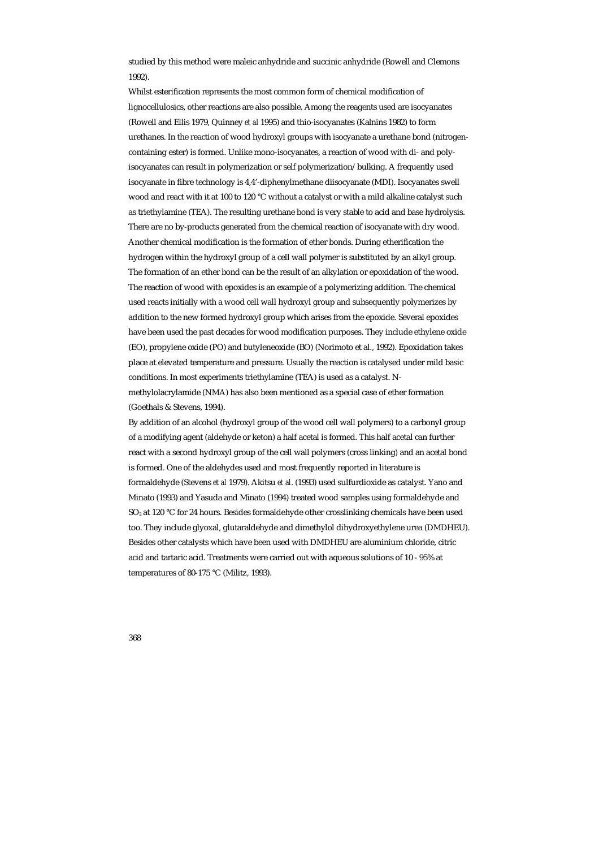studied by this method were maleic anhydride and succinic anhydride (Rowell and Clemons 1992).

Whilst esterification represents the most common form of chemical modification of lignocellulosics, other reactions are also possible. Among the reagents used are isocyanates (Rowell and Ellis 1979, Quinney *et al* 1995) and thio-isocyanates (Kalnins 1982) to form urethanes. In the reaction of wood hydroxyl groups with isocyanate a urethane bond (nitrogencontaining ester) is formed. Unlike mono-isocyanates, a reaction of wood with di- and polyisocyanates can result in polymerization or self polymerization/bulking. A frequently used isocyanate in fibre technology is 4,4'-diphenylmethane diisocyanate (MDI). Isocyanates swell wood and react with it at 100 to 120 °C without a catalyst or with a mild alkaline catalyst such as triethylamine (TEA). The resulting urethane bond is very stable to acid and base hydrolysis. There are no by-products generated from the chemical reaction of isocyanate with dry wood. Another chemical modification is the formation of ether bonds. During etherification the hydrogen within the hydroxyl group of a cell wall polymer is substituted by an alkyl group. The formation of an ether bond can be the result of an alkylation or epoxidation of the wood. The reaction of wood with epoxides is an example of a polymerizing addition. The chemical used reacts initially with a wood cell wall hydroxyl group and subsequently polymerizes by addition to the new formed hydroxyl group which arises from the epoxide. Several epoxides have been used the past decades for wood modification purposes. They include ethylene oxide (EO), propylene oxide (PO) and butyleneoxide (BO) (Norimoto et al., 1992). Epoxidation takes place at elevated temperature and pressure. Usually the reaction is catalysed under mild basic conditions. In most experiments triethylamine (TEA) is used as a catalyst. Nmethylolacrylamide (NMA) has also been mentioned as a special case of ether formation (Goethals & Stevens, 1994).

By addition of an alcohol (hydroxyl group of the wood cell wall polymers) to a carbonyl group of a modifying agent (aldehyde or keton) a half acetal is formed. This half acetal can further react with a second hydroxyl group of the cell wall polymers (cross linking) and an acetal bond is formed. One of the aldehydes used and most frequently reported in literature is formaldehyde (Stevens *et al* 1979). Akitsu *et al*. (1993) used sulfurdioxide as catalyst. Yano and Minato (1993) and Yasuda and Minato (1994) treated wood samples using formaldehyde and SO<sub>2</sub> at 120 °C for 24 hours. Besides formaldehyde other crosslinking chemicals have been used too. They include glyoxal, glutaraldehyde and dimethylol dihydroxyethylene urea (DMDHEU). Besides other catalysts which have been used with DMDHEU are aluminium chloride, citric acid and tartaric acid. Treatments were carried out with aqueous solutions of 10 - 95% at temperatures of 80-175 °C (Militz, 1993).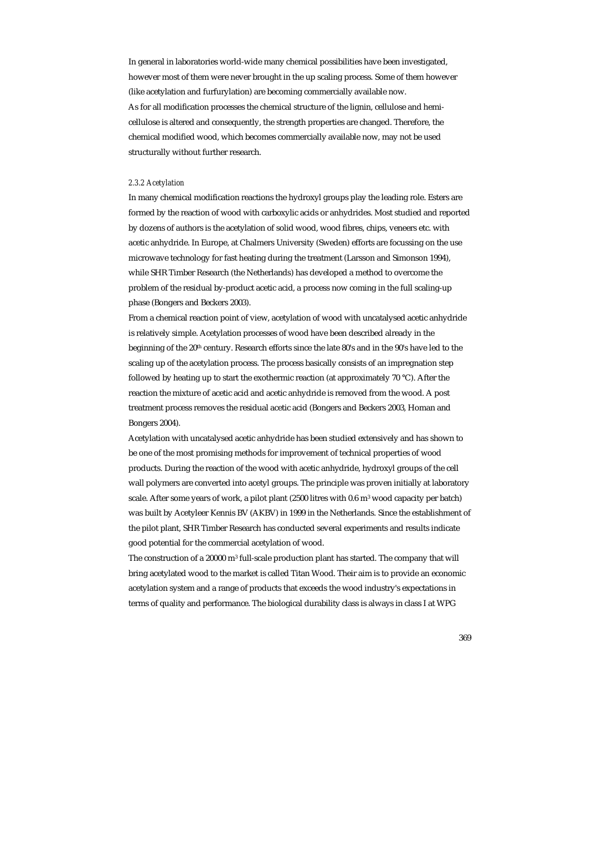In general in laboratories world-wide many chemical possibilities have been investigated, however most of them were never brought in the up scaling process. Some of them however (like acetylation and furfurylation) are becoming commercially available now. As for all modification processes the chemical structure of the lignin, cellulose and hemicellulose is altered and consequently, the strength properties are changed. Therefore, the chemical modified wood, which becomes commercially available now, may not be used structurally without further research.

## *2.3.2 Acetylation*

In many chemical modification reactions the hydroxyl groups play the leading role. Esters are formed by the reaction of wood with carboxylic acids or anhydrides. Most studied and reported by dozens of authors is the acetylation of solid wood, wood fibres, chips, veneers etc. with acetic anhydride. In Europe, at Chalmers University (Sweden) efforts are focussing on the use microwave technology for fast heating during the treatment (Larsson and Simonson 1994), while SHR Timber Research (the Netherlands) has developed a method to overcome the problem of the residual by-product acetic acid, a process now coming in the full scaling-up phase (Bongers and Beckers 2003).

From a chemical reaction point of view, acetylation of wood with uncatalysed acetic anhydride is relatively simple. Acetylation processes of wood have been described already in the beginning of the 20<sup>th</sup> century. Research efforts since the late 80's and in the 90's have led to the scaling up of the acetylation process. The process basically consists of an impregnation step followed by heating up to start the exothermic reaction (at approximately 70 °C). After the reaction the mixture of acetic acid and acetic anhydride is removed from the wood. A post treatment process removes the residual acetic acid (Bongers and Beckers 2003, Homan and Bongers 2004).

Acetylation with uncatalysed acetic anhydride has been studied extensively and has shown to be one of the most promising methods for improvement of technical properties of wood products. During the reaction of the wood with acetic anhydride, hydroxyl groups of the cell wall polymers are converted into acetyl groups. The principle was proven initially at laboratory scale. After some years of work, a pilot plant (2500 litres with 0.6 m3 wood capacity per batch) was built by Acetyleer Kennis BV (AKBV) in 1999 in the Netherlands. Since the establishment of the pilot plant, SHR Timber Research has conducted several experiments and results indicate good potential for the commercial acetylation of wood.

The construction of a 20000 m3 full-scale production plant has started. The company that will bring acetylated wood to the market is called Titan Wood. Their aim is to provide an economic acetylation system and a range of products that exceeds the wood industry's expectations in terms of quality and performance. The biological durability class is always in class I at WPG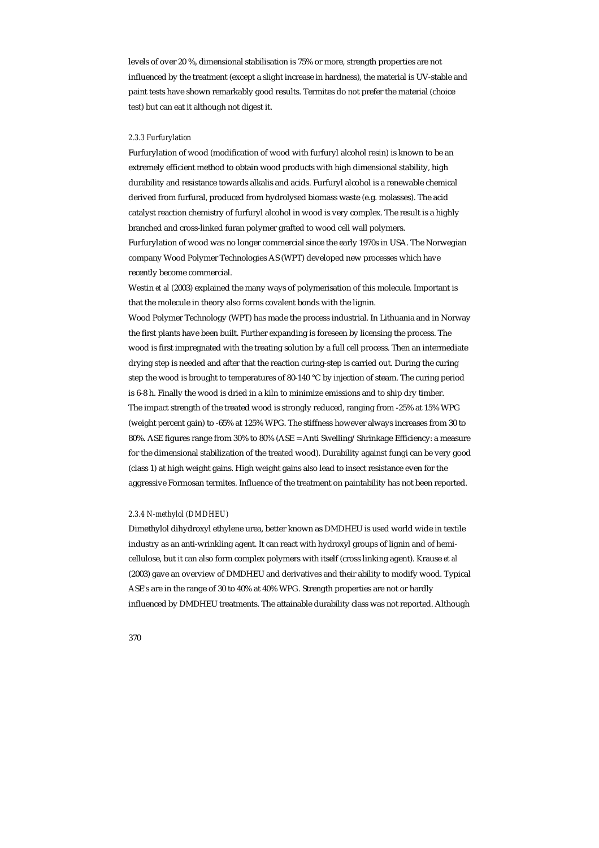levels of over 20 %, dimensional stabilisation is 75% or more, strength properties are not influenced by the treatment (except a slight increase in hardness), the material is UV-stable and paint tests have shown remarkably good results. Termites do not prefer the material (choice test) but can eat it although not digest it.

## *2.3.3 Furfurylation*

Furfurylation of wood (modification of wood with furfuryl alcohol resin) is known to be an extremely efficient method to obtain wood products with high dimensional stability, high durability and resistance towards alkalis and acids. Furfuryl alcohol is a renewable chemical derived from furfural, produced from hydrolysed biomass waste (e.g. molasses). The acid catalyst reaction chemistry of furfuryl alcohol in wood is very complex. The result is a highly branched and cross-linked furan polymer grafted to wood cell wall polymers. Furfurylation of wood was no longer commercial since the early 1970s in USA. The Norwegian company Wood Polymer Technologies AS (WPT) developed new processes which have recently become commercial.

Westin *et al* (2003) explained the many ways of polymerisation of this molecule. Important is that the molecule in theory also forms covalent bonds with the lignin.

Wood Polymer Technology (WPT) has made the process industrial. In Lithuania and in Norway the first plants have been built. Further expanding is foreseen by licensing the process. The wood is first impregnated with the treating solution by a full cell process. Then an intermediate drying step is needed and after that the reaction curing-step is carried out. During the curing step the wood is brought to temperatures of 80-140 °C by injection of steam. The curing period is 6-8 h. Finally the wood is dried in a kiln to minimize emissions and to ship dry timber. The impact strength of the treated wood is strongly reduced, ranging from -25% at 15% WPG (weight percent gain) to -65% at 125% WPG. The stiffness however always increases from 30 to 80%. ASE figures range from 30% to 80% (ASE = Anti Swelling/Shrinkage Efficiency: a measure for the dimensional stabilization of the treated wood). Durability against fungi can be very good (class 1) at high weight gains. High weight gains also lead to insect resistance even for the aggressive Formosan termites. Influence of the treatment on paintability has not been reported.

#### *2.3.4 N-methylol (DMDHEU)*

Dimethylol dihydroxyl ethylene urea, better known as DMDHEU is used world wide in textile industry as an anti-wrinkling agent. It can react with hydroxyl groups of lignin and of hemicellulose, but it can also form complex polymers with itself (cross linking agent). Krause *et al*  (2003) gave an overview of DMDHEU and derivatives and their ability to modify wood. Typical ASE's are in the range of 30 to 40% at 40% WPG. Strength properties are not or hardly influenced by DMDHEU treatments. The attainable durability class was not reported. Although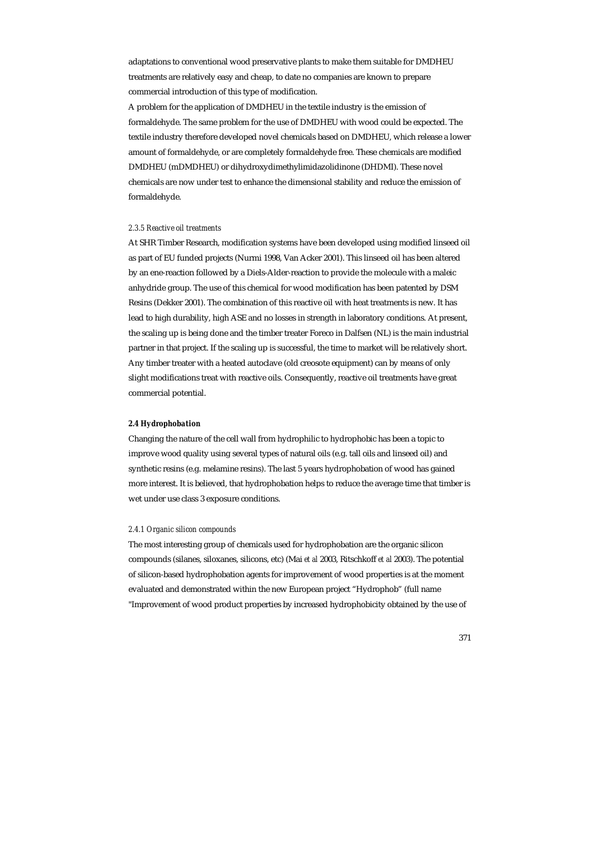adaptations to conventional wood preservative plants to make them suitable for DMDHEU treatments are relatively easy and cheap, to date no companies are known to prepare commercial introduction of this type of modification.

A problem for the application of DMDHEU in the textile industry is the emission of formaldehyde. The same problem for the use of DMDHEU with wood could be expected. The textile industry therefore developed novel chemicals based on DMDHEU, which release a lower amount of formaldehyde, or are completely formaldehyde free. These chemicals are modified DMDHEU (mDMDHEU) or dihydroxydimethylimidazolidinone (DHDMI). These novel chemicals are now under test to enhance the dimensional stability and reduce the emission of formaldehyde.

#### *2.3.5 Reactive oil treatments*

At SHR Timber Research, modification systems have been developed using modified linseed oil as part of EU funded projects (Nurmi 1998, Van Acker 2001). This linseed oil has been altered by an ene-reaction followed by a Diels-Alder-reaction to provide the molecule with a maleic anhydride group. The use of this chemical for wood modification has been patented by DSM Resins (Dekker 2001). The combination of this reactive oil with heat treatments is new. It has lead to high durability, high ASE and no losses in strength in laboratory conditions. At present, the scaling up is being done and the timber treater Foreco in Dalfsen (NL) is the main industrial partner in that project. If the scaling up is successful, the time to market will be relatively short. Any timber treater with a heated autoclave (old creosote equipment) can by means of only slight modifications treat with reactive oils. Consequently, reactive oil treatments have great commercial potential.

# *2.4 Hydrophobation*

Changing the nature of the cell wall from hydrophilic to hydrophobic has been a topic to improve wood quality using several types of natural oils (e.g. tall oils and linseed oil) and synthetic resins (e.g. melamine resins). The last 5 years hydrophobation of wood has gained more interest. It is believed, that hydrophobation helps to reduce the average time that timber is wet under use class 3 exposure conditions.

#### *2.4.1 Organic silicon compounds*

The most interesting group of chemicals used for hydrophobation are the organic silicon compounds (silanes, siloxanes, silicons, etc) (Mai *et al* 2003, Ritschkoff *et al* 2003). The potential of silicon-based hydrophobation agents for improvement of wood properties is at the moment evaluated and demonstrated within the new European project "Hydrophob" (full name "Improvement of wood product properties by increased hydrophobicity obtained by the use of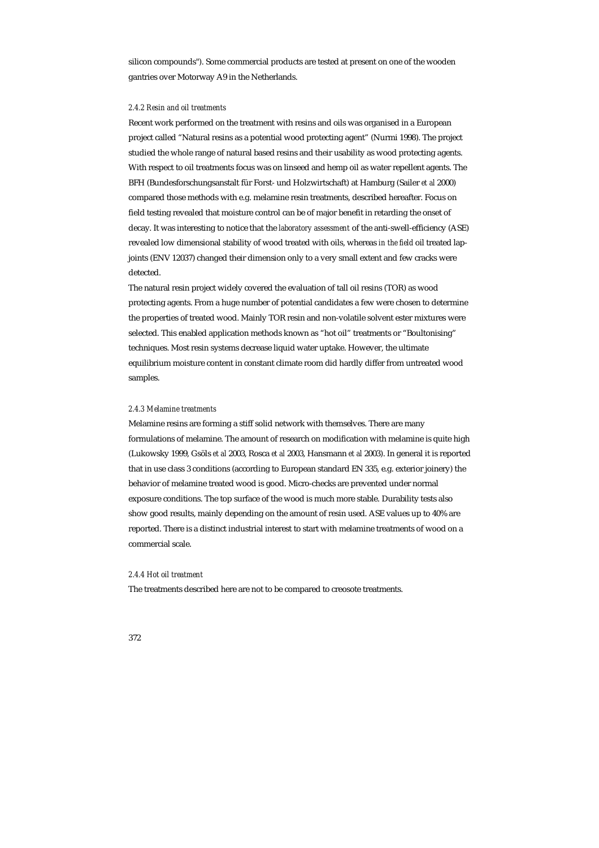silicon compounds"). Some commercial products are tested at present on one of the wooden gantries over Motorway A9 in the Netherlands.

# *2.4.2 Resin and oil treatments*

Recent work performed on the treatment with resins and oils was organised in a European project called "Natural resins as a potential wood protecting agent" (Nurmi 1998). The project studied the whole range of natural based resins and their usability as wood protecting agents. With respect to oil treatments focus was on linseed and hemp oil as water repellent agents. The BFH (Bundesforschungsanstalt für Forst- und Holzwirtschaft) at Hamburg (Sailer *et al* 2000) compared those methods with e.g. melamine resin treatments, described hereafter. Focus on field testing revealed that moisture control can be of major benefit in retarding the onset of decay. It was interesting to notice that the *laboratory assessment* of the anti-swell-efficiency (ASE) revealed low dimensional stability of wood treated with oils, whereas *in the field* oil treated lapjoints (ENV 12037) changed their dimension only to a very small extent and few cracks were detected.

The natural resin project widely covered the evaluation of tall oil resins (TOR) as wood protecting agents. From a huge number of potential candidates a few were chosen to determine the properties of treated wood. Mainly TOR resin and non-volatile solvent ester mixtures were selected. This enabled application methods known as "hot oil" treatments or "Boultonising" techniques. Most resin systems decrease liquid water uptake. However, the ultimate equilibrium moisture content in constant climate room did hardly differ from untreated wood samples.

#### *2.4.3 Melamine treatments*

Melamine resins are forming a stiff solid network with themselves. There are many formulations of melamine. The amount of research on modification with melamine is quite high (Lukowsky 1999, Gsöls *et al* 2003, Rosca *et al* 2003, Hansmann *et al* 2003). In general it is reported that in use class 3 conditions (according to European standard EN 335, e.g. exterior joinery) the behavior of melamine treated wood is good. Micro-checks are prevented under normal exposure conditions. The top surface of the wood is much more stable. Durability tests also show good results, mainly depending on the amount of resin used. ASE values up to 40% are reported. There is a distinct industrial interest to start with melamine treatments of wood on a commercial scale.

#### *2.4.4 Hot oil treatment*

The treatments described here are not to be compared to creosote treatments.

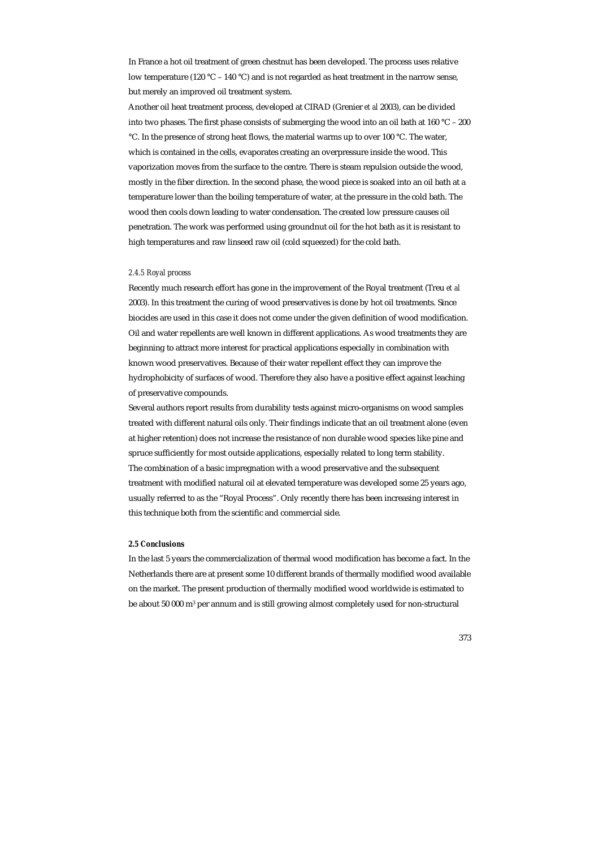In France a hot oil treatment of green chestnut has been developed. The process uses relative low temperature (120 °C – 140 °C) and is not regarded as heat treatment in the narrow sense, but merely an improved oil treatment system.

Another oil heat treatment process, developed at CIRAD (Grenier *et al* 2003), can be divided into two phases. The first phase consists of submerging the wood into an oil bath at 160 °C – 200 °C. In the presence of strong heat flows, the material warms up to over 100 °C. The water, which is contained in the cells, evaporates creating an overpressure inside the wood. This vaporization moves from the surface to the centre. There is steam repulsion outside the wood, mostly in the fiber direction. In the second phase, the wood piece is soaked into an oil bath at a temperature lower than the boiling temperature of water, at the pressure in the cold bath. The wood then cools down leading to water condensation. The created low pressure causes oil penetration. The work was performed using groundnut oil for the hot bath as it is resistant to high temperatures and raw linseed raw oil (cold squeezed) for the cold bath.

#### *2.4.5 Royal process*

Recently much research effort has gone in the improvement of the Royal treatment (Treu *et al*  2003). In this treatment the curing of wood preservatives is done by hot oil treatments. Since biocides are used in this case it does not come under the given definition of wood modification. Oil and water repellents are well known in different applications. As wood treatments they are beginning to attract more interest for practical applications especially in combination with known wood preservatives. Because of their water repellent effect they can improve the hydrophobicity of surfaces of wood. Therefore they also have a positive effect against leaching of preservative compounds.

Several authors report results from durability tests against micro-organisms on wood samples treated with different natural oils only. Their findings indicate that an oil treatment alone (even at higher retention) does not increase the resistance of non durable wood species like pine and spruce sufficiently for most outside applications, especially related to long term stability. The combination of a basic impregnation with a wood preservative and the subsequent treatment with modified natural oil at elevated temperature was developed some 25 years ago, usually referred to as the "Royal Process". Only recently there has been increasing interest in this technique both from the scientific and commercial side.

# *2.5 Conclusions*

In the last 5 years the commercialization of thermal wood modification has become a fact. In the Netherlands there are at present some 10 different brands of thermally modified wood available on the market. The present production of thermally modified wood worldwide is estimated to be about 50 000 m3 per annum and is still growing almost completely used for non-structural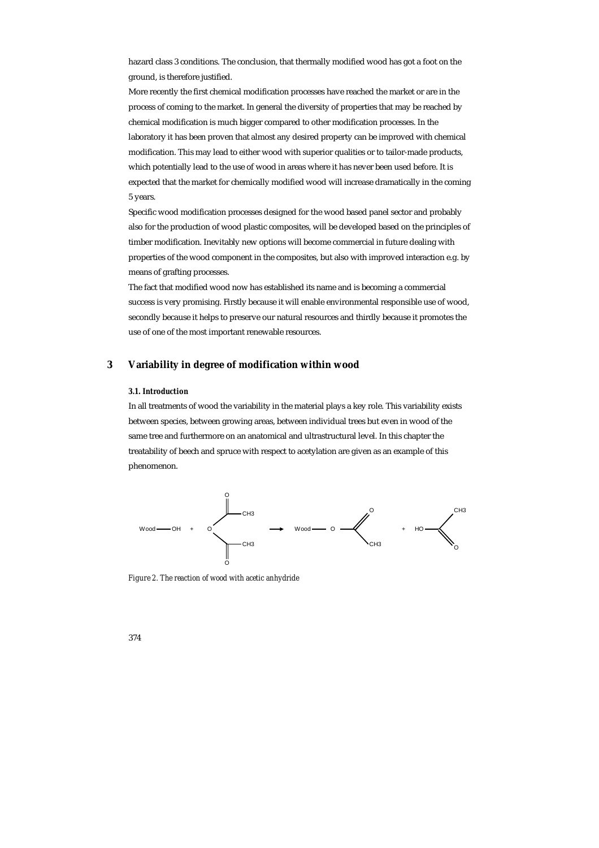hazard class 3 conditions. The conclusion, that thermally modified wood has got a foot on the ground, is therefore justified.

More recently the first chemical modification processes have reached the market or are in the process of coming to the market. In general the diversity of properties that may be reached by chemical modification is much bigger compared to other modification processes. In the laboratory it has been proven that almost any desired property can be improved with chemical modification. This may lead to either wood with superior qualities or to tailor-made products, which potentially lead to the use of wood in areas where it has never been used before. It is expected that the market for chemically modified wood will increase dramatically in the coming 5 years.

Specific wood modification processes designed for the wood based panel sector and probably also for the production of wood plastic composites, will be developed based on the principles of timber modification. Inevitably new options will become commercial in future dealing with properties of the wood component in the composites, but also with improved interaction e.g. by means of grafting processes.

The fact that modified wood now has established its name and is becoming a commercial success is very promising. Firstly because it will enable environmental responsible use of wood, secondly because it helps to preserve our natural resources and thirdly because it promotes the use of one of the most important renewable resources.

# **3 Variability in degree of modification within wood**

# *3.1. Introduction*

In all treatments of wood the variability in the material plays a key role. This variability exists between species, between growing areas, between individual trees but even in wood of the same tree and furthermore on an anatomical and ultrastructural level. In this chapter the treatability of beech and spruce with respect to acetylation are given as an example of this phenomenon.



*Figure 2. The reaction of wood with acetic anhydride*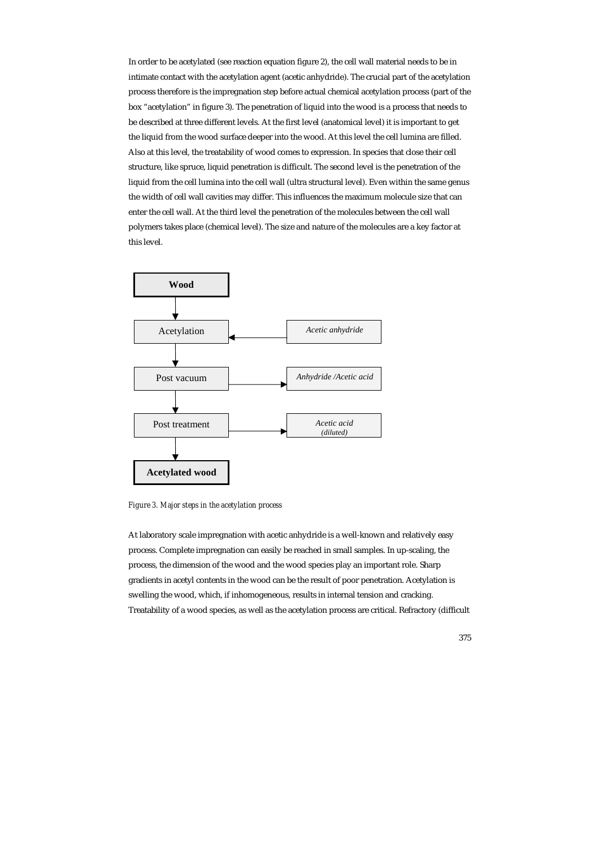In order to be acetylated (see reaction equation figure 2), the cell wall material needs to be in intimate contact with the acetylation agent (acetic anhydride). The crucial part of the acetylation process therefore is the impregnation step before actual chemical acetylation process (part of the box "acetylation" in figure 3). The penetration of liquid into the wood is a process that needs to be described at three different levels. At the first level (anatomical level) it is important to get the liquid from the wood surface deeper into the wood. At this level the cell lumina are filled. Also at this level, the treatability of wood comes to expression. In species that close their cell structure, like spruce, liquid penetration is difficult. The second level is the penetration of the liquid from the cell lumina into the cell wall (ultra structural level). Even within the same genus the width of cell wall cavities may differ. This influences the maximum molecule size that can enter the cell wall. At the third level the penetration of the molecules between the cell wall polymers takes place (chemical level). The size and nature of the molecules are a key factor at this level.



*Figure 3. Major steps in the acetylation process* 

At laboratory scale impregnation with acetic anhydride is a well-known and relatively easy process. Complete impregnation can easily be reached in small samples. In up-scaling, the process, the dimension of the wood and the wood species play an important role. Sharp gradients in acetyl contents in the wood can be the result of poor penetration. Acetylation is swelling the wood, which, if inhomogeneous, results in internal tension and cracking. Treatability of a wood species, as well as the acetylation process are critical. Refractory (difficult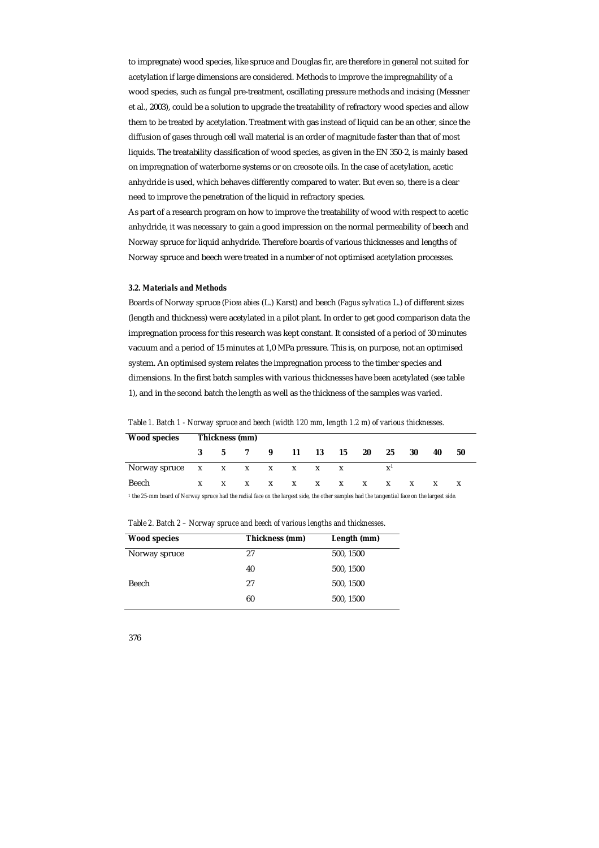to impregnate) wood species, like spruce and Douglas fir, are therefore in general not suited for acetylation if large dimensions are considered. Methods to improve the impregnability of a wood species, such as fungal pre-treatment, oscillating pressure methods and incising (Messner et al., 2003), could be a solution to upgrade the treatability of refractory wood species and allow them to be treated by acetylation. Treatment with gas instead of liquid can be an other, since the diffusion of gases through cell wall material is an order of magnitude faster than that of most liquids. The treatability classification of wood species, as given in the EN 350-2, is mainly based on impregnation of waterborne systems or on creosote oils. In the case of acetylation, acetic anhydride is used, which behaves differently compared to water. But even so, there is a clear need to improve the penetration of the liquid in refractory species.

As part of a research program on how to improve the treatability of wood with respect to acetic anhydride, it was necessary to gain a good impression on the normal permeability of beech and Norway spruce for liquid anhydride. Therefore boards of various thicknesses and lengths of Norway spruce and beech were treated in a number of not optimised acetylation processes.

#### *3.2. Materials and Methods*

Boards of Norway spruce (*Picea abies* (L.) Karst) and beech (*Fagus sylvatica* L.) of different sizes (length and thickness) were acetylated in a pilot plant. In order to get good comparison data the impregnation process for this research was kept constant. It consisted of a period of 30 minutes vacuum and a period of 15 minutes at 1,0 MPa pressure. This is, on purpose, not an optimised system. An optimised system relates the impregnation process to the timber species and dimensions. In the first batch samples with various thicknesses have been acetylated (see table 1), and in the second batch the length as well as the thickness of the samples was varied.

*Table 1. Batch 1 - Norway spruce and beech (width 120 mm, length 1.2 m) of various thicknesses.* 

| <b>Wood species</b>                                                                                                                                   | Thickness (mm) |  |  |  |                             |  |  |     |                |    |    |    |  |
|-------------------------------------------------------------------------------------------------------------------------------------------------------|----------------|--|--|--|-----------------------------|--|--|-----|----------------|----|----|----|--|
|                                                                                                                                                       |                |  |  |  | 3 5 7 9 11 13 15            |  |  | 20  | 25             | 30 | 40 | 50 |  |
| Norway spruce $x \times x \times x \times x \times x$                                                                                                 |                |  |  |  |                             |  |  |     | $\mathbf{x}^1$ |    |    |    |  |
| Beech                                                                                                                                                 |                |  |  |  | $X$ $X$ $X$ $X$ $X$ $X$ $X$ |  |  | X X |                |    |    |    |  |
| <sup>1</sup> the 25-mm board of Norway spruce had the radial face on the largest side, the other samples had the tangential face on the largest side. |                |  |  |  |                             |  |  |     |                |    |    |    |  |

| <b>Wood species</b> | Thickness (mm) | Length (mm) |
|---------------------|----------------|-------------|
| Norway spruce       | 27             | 500, 1500   |
|                     | 40             | 500, 1500   |
| Beech               | 27             | 500, 1500   |
|                     | 60             | 500, 1500   |

*Table 2. Batch 2 – Norway spruce and beech of various lengths and thicknesses.*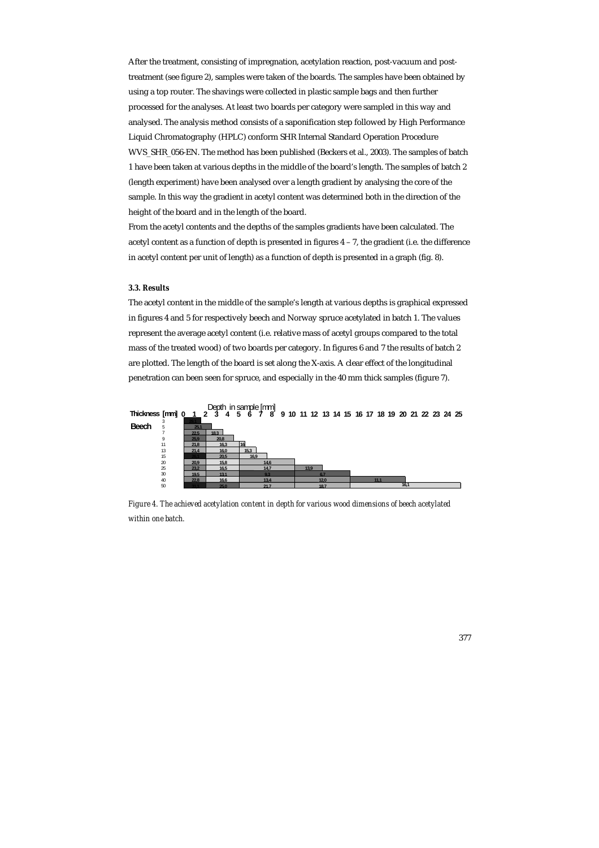After the treatment, consisting of impregnation, acetylation reaction, post-vacuum and posttreatment (see figure 2), samples were taken of the boards. The samples have been obtained by using a top router. The shavings were collected in plastic sample bags and then further processed for the analyses. At least two boards per category were sampled in this way and analysed. The analysis method consists of a saponification step followed by High Performance Liquid Chromatography (HPLC) conform SHR Internal Standard Operation Procedure WVS\_SHR\_056-EN. The method has been published (Beckers et al., 2003). The samples of batch 1 have been taken at various depths in the middle of the board's length. The samples of batch 2 (length experiment) have been analysed over a length gradient by analysing the core of the sample. In this way the gradient in acetyl content was determined both in the direction of the height of the board and in the length of the board.

From the acetyl contents and the depths of the samples gradients have been calculated. The acetyl content as a function of depth is presented in figures 4 – 7, the gradient (i.e. the difference in acetyl content per unit of length) as a function of depth is presented in a graph (fig. 8).

#### *3.3. Results*

The acetyl content in the middle of the sample's length at various depths is graphical expressed in figures 4 and 5 for respectively beech and Norway spruce acetylated in batch 1. The values represent the average acetyl content (i.e. relative mass of acetyl groups compared to the total mass of the treated wood) of two boards per category. In figures 6 and 7 the results of batch 2 are plotted. The length of the board is set along the X-axis. A clear effect of the longitudinal penetration can been seen for spruce, and especially in the 40 mm thick samples (figure 7).



*Figure 4. The achieved acetylation content in depth for various wood dimensions of beech acetylated within one batch.*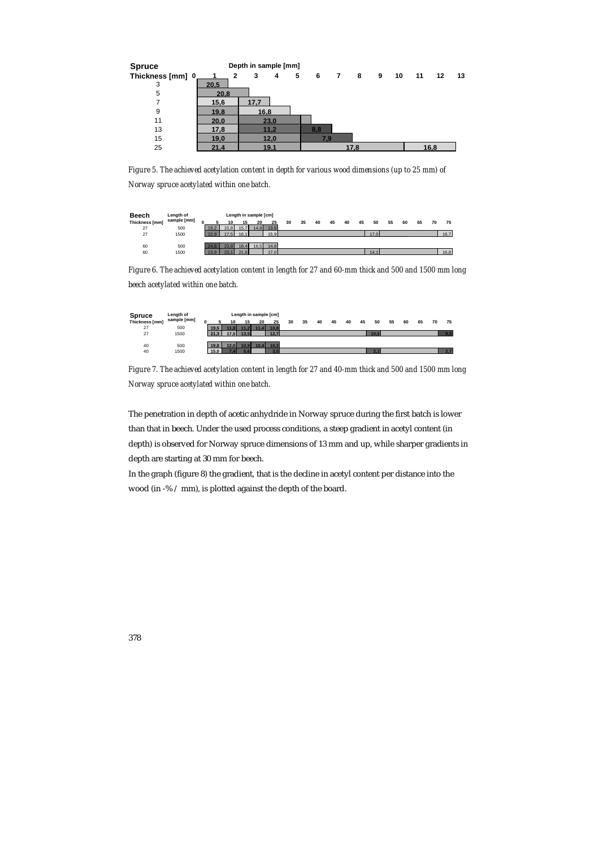

*Figure 5. The achieved acetylation content in depth for various wood dimensions (up to 25 mm) of Norway spruce acetylated within one batch.* 



*Figure 6. The achieved acetylation content in length for 27 and 60-mm thick and 500 and 1500 mm long beech acetylated within one batch.* 



*Figure 7. The achieved acetylation content in length for 27 and 40-mm thick and 500 and 1500 mm long Norway spruce acetylated within one batch.* 

The penetration in depth of acetic anhydride in Norway spruce during the first batch is lower than that in beech. Under the used process conditions, a steep gradient in acetyl content (in depth) is observed for Norway spruce dimensions of 13 mm and up, while sharper gradients in depth are starting at 30 mm for beech.

In the graph (figure 8) the gradient, that is the decline in acetyl content per distance into the wood (in -% / mm), is plotted against the depth of the board.

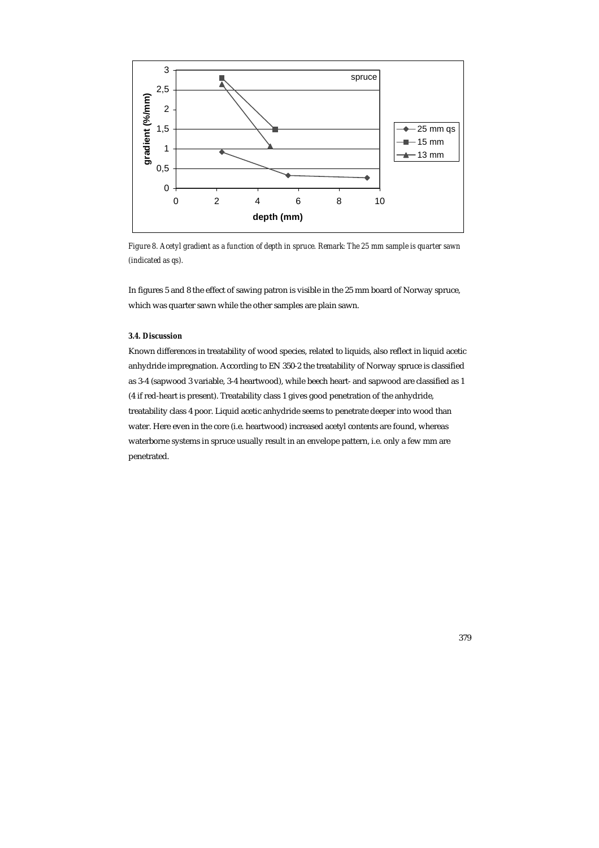

*Figure 8. Acetyl gradient as a function of depth in spruce. Remark: The 25 mm sample is quarter sawn (indicated as qs).* 

In figures 5 and 8 the effect of sawing patron is visible in the 25 mm board of Norway spruce, which was quarter sawn while the other samples are plain sawn.

# *3.4. Discussion*

Known differences in treatability of wood species, related to liquids, also reflect in liquid acetic anhydride impregnation. According to EN 350-2 the treatability of Norway spruce is classified as 3-4 (sapwood 3 variable, 3-4 heartwood), while beech heart- and sapwood are classified as 1 (4 if red-heart is present). Treatability class 1 gives good penetration of the anhydride, treatability class 4 poor. Liquid acetic anhydride seems to penetrate deeper into wood than water. Here even in the core (i.e. heartwood) increased acetyl contents are found, whereas waterborne systems in spruce usually result in an envelope pattern, i.e. only a few mm are penetrated.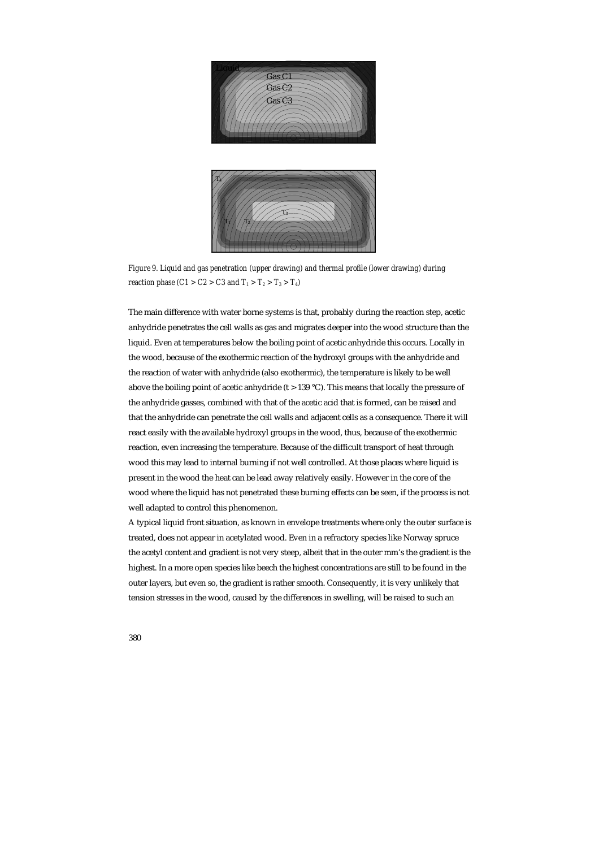

*Figure 9. Liquid and gas penetration (upper drawing) and thermal profile (lower drawing) during reaction phase (C1 > C2 > C3 and*  $T_1 > T_2 > T_3 > T_4$ *)* 

The main difference with water borne systems is that, probably during the reaction step, acetic anhydride penetrates the cell walls as gas and migrates deeper into the wood structure than the liquid. Even at temperatures below the boiling point of acetic anhydride this occurs. Locally in the wood, because of the exothermic reaction of the hydroxyl groups with the anhydride and the reaction of water with anhydride (also exothermic), the temperature is likely to be well above the boiling point of acetic anhydride (t  $> 139$  °C). This means that locally the pressure of the anhydride gasses, combined with that of the acetic acid that is formed, can be raised and that the anhydride can penetrate the cell walls and adjacent cells as a consequence. There it will react easily with the available hydroxyl groups in the wood, thus, because of the exothermic reaction, even increasing the temperature. Because of the difficult transport of heat through wood this may lead to internal burning if not well controlled. At those places where liquid is present in the wood the heat can be lead away relatively easily. However in the core of the wood where the liquid has not penetrated these burning effects can be seen, if the process is not well adapted to control this phenomenon.

A typical liquid front situation, as known in envelope treatments where only the outer surface is treated, does not appear in acetylated wood. Even in a refractory species like Norway spruce the acetyl content and gradient is not very steep, albeit that in the outer mm's the gradient is the highest. In a more open species like beech the highest concentrations are still to be found in the outer layers, but even so, the gradient is rather smooth. Consequently, it is very unlikely that tension stresses in the wood, caused by the differences in swelling, will be raised to such an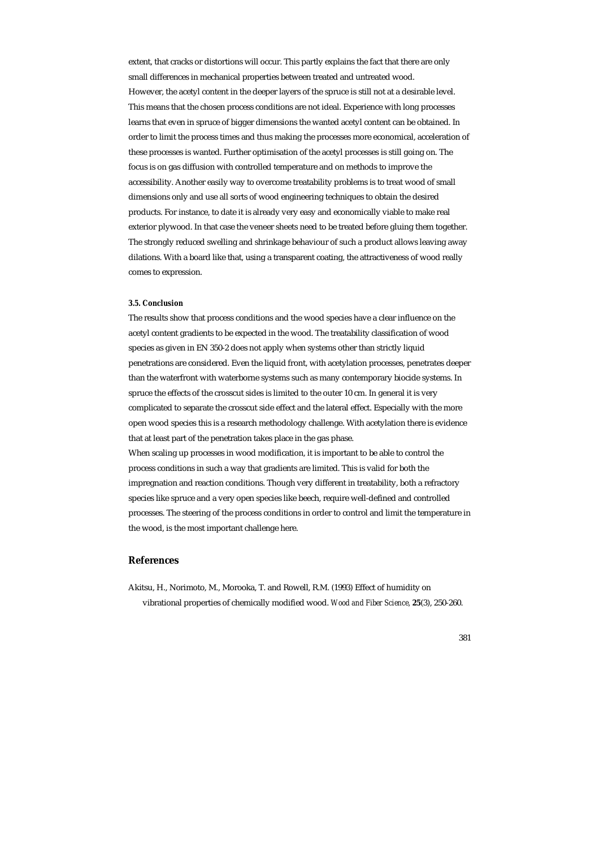extent, that cracks or distortions will occur. This partly explains the fact that there are only small differences in mechanical properties between treated and untreated wood. However, the acetyl content in the deeper layers of the spruce is still not at a desirable level. This means that the chosen process conditions are not ideal. Experience with long processes learns that even in spruce of bigger dimensions the wanted acetyl content can be obtained. In order to limit the process times and thus making the processes more economical, acceleration of these processes is wanted. Further optimisation of the acetyl processes is still going on. The focus is on gas diffusion with controlled temperature and on methods to improve the accessibility. Another easily way to overcome treatability problems is to treat wood of small dimensions only and use all sorts of wood engineering techniques to obtain the desired products. For instance, to date it is already very easy and economically viable to make real exterior plywood. In that case the veneer sheets need to be treated before gluing them together. The strongly reduced swelling and shrinkage behaviour of such a product allows leaving away dilations. With a board like that, using a transparent coating, the attractiveness of wood really comes to expression.

# *3.5. Conclusion*

The results show that process conditions and the wood species have a clear influence on the acetyl content gradients to be expected in the wood. The treatability classification of wood species as given in EN 350-2 does not apply when systems other than strictly liquid penetrations are considered. Even the liquid front, with acetylation processes, penetrates deeper than the waterfront with waterborne systems such as many contemporary biocide systems. In spruce the effects of the crosscut sides is limited to the outer 10 cm. In general it is very complicated to separate the crosscut side effect and the lateral effect. Especially with the more open wood species this is a research methodology challenge. With acetylation there is evidence that at least part of the penetration takes place in the gas phase.

When scaling up processes in wood modification, it is important to be able to control the process conditions in such a way that gradients are limited. This is valid for both the impregnation and reaction conditions. Though very different in treatability, both a refractory species like spruce and a very open species like beech, require well-defined and controlled processes. The steering of the process conditions in order to control and limit the temperature in the wood, is the most important challenge here.

# **References**

Akitsu, H., Norimoto, M., Morooka, T. and Rowell, R.M. (1993) Effect of humidity on vibrational properties of chemically modified wood. *Wood and Fiber Science,* **25**(3), 250-260.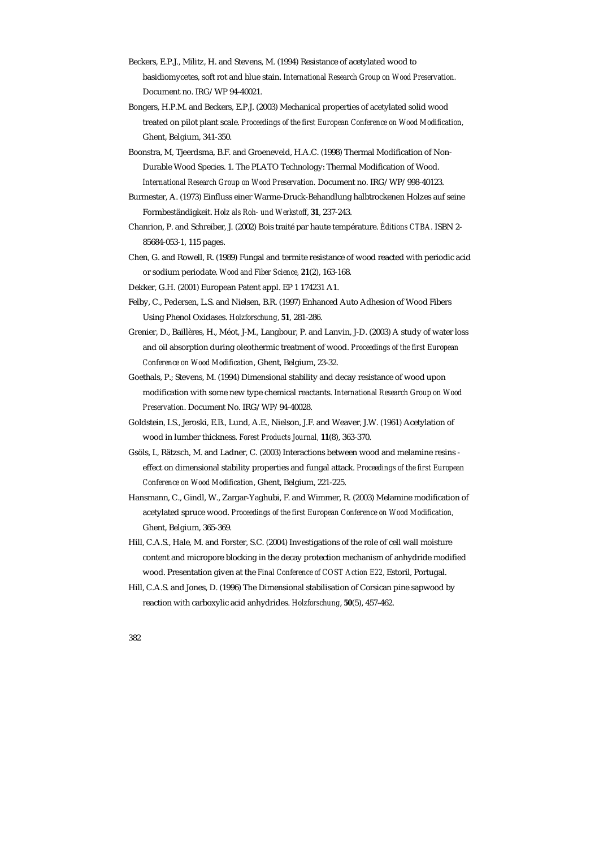- Beckers, E.P.J., Militz, H. and Stevens, M. (1994) Resistance of acetylated wood to basidiomycetes, soft rot and blue stain. *International Research Group on Wood Preservation.* Document no. IRG/WP 94-40021.
- Bongers, H.P.M. and Beckers, E.P.J. (2003) Mechanical properties of acetylated solid wood treated on pilot plant scale. *Proceedings of the first European Conference on Wood Modification*, Ghent, Belgium, 341-350.
- Boonstra, M, Tjeerdsma, B.F. and Groeneveld, H.A.C. (1998) Thermal Modification of Non-Durable Wood Species. 1. The PLATO Technology: Thermal Modification of Wood. *International Research Group on Wood Preservation.* Document no. IRG/WP/998-40123.
- Burmester, A. (1973) Einfluss einer Warme-Druck-Behandlung halbtrockenen Holzes auf seine Formbeständigkeit. *Holz als Roh- und Werkstoff*, **31**, 237-243.
- Chanrion, P. and Schreiber, J. (2002) Bois traité par haute température. *Éditions CTBA.* ISBN 2- 85684-053-1, 115 pages.
- Chen, G. and Rowell, R. (1989) Fungal and termite resistance of wood reacted with periodic acid or sodium periodate. *Wood and Fiber Science,* **21**(2), 163-168.
- Dekker, G.H. (2001) European Patent appl. EP 1 174231 A1.
- Felby, C., Pedersen, L.S. and Nielsen, B.R. (1997) Enhanced Auto Adhesion of Wood Fibers Using Phenol Oxidases. *Holzforschung*, **51**, 281-286.
- Grenier, D., Baillères, H., Méot, J-M., Langbour, P. and Lanvin, J-D. (2003) A study of water loss and oil absorption during oleothermic treatment of wood. *Proceedings of the first European Conference on Wood Modification*, Ghent, Belgium, 23-32.
- Goethals, P.; Stevens, M. (1994) Dimensional stability and decay resistance of wood upon modification with some new type chemical reactants. *International Research Group on Wood Preservation*. Document No. IRG/WP/94-40028.
- Goldstein, I.S., Jeroski, E.B., Lund, A.E., Nielson, J.F. and Weaver, J.W. (1961) Acetylation of wood in lumber thickness. *Forest Products Journal,* **11**(8), 363-370.
- Gsöls, I., Rätzsch, M. and Ladner, C. (2003) Interactions between wood and melamine resins effect on dimensional stability properties and fungal attack. *Proceedings of the first European Conference on Wood Modification*, Ghent, Belgium, 221-225.
- Hansmann, C., Gindl, W., Zargar-Yaghubi, F. and Wimmer, R. (2003) Melamine modification of acetylated spruce wood. *Proceedings of the first European Conference on Wood Modification*, Ghent, Belgium, 365-369.
- Hill, C.A.S., Hale, M. and Forster, S.C. (2004) Investigations of the role of cell wall moisture content and micropore blocking in the decay protection mechanism of anhydride modified wood. Presentation given at the *Final Conference of COST Action E22*, Estoril, Portugal.
- Hill, C.A.S. and Jones, D. (1996) The Dimensional stabilisation of Corsican pine sapwood by reaction with carboxylic acid anhydrides. *Holzforschung*, **50**(5), 457-462.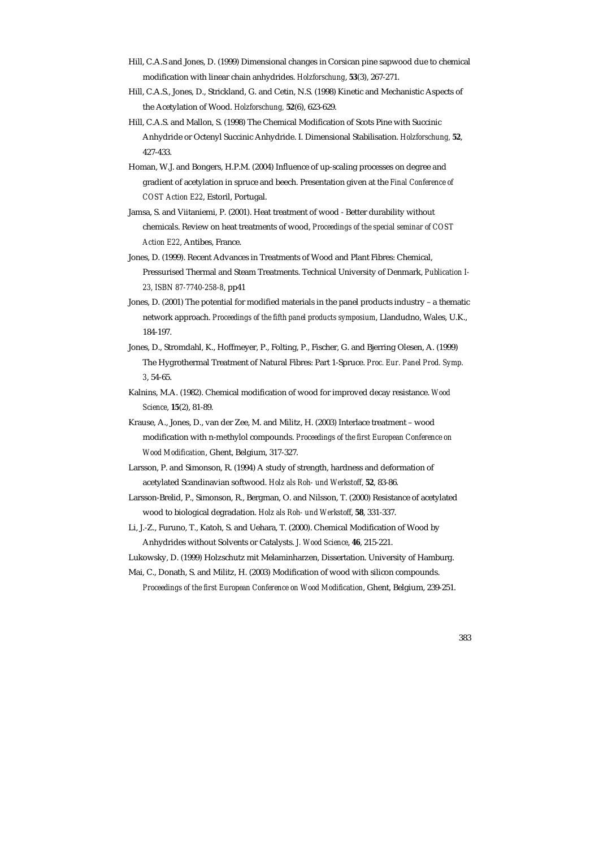- Hill, C.A.S and Jones, D. (1999) Dimensional changes in Corsican pine sapwood due to chemical modification with linear chain anhydrides. *Holzforschung*, **53**(3), 267-271.
- Hill, C.A.S., Jones, D., Strickland, G. and Cetin, N.S. (1998) Kinetic and Mechanistic Aspects of the Acetylation of Wood. *Holzforschung,* **52**(6), 623-629.
- Hill, C.A.S. and Mallon, S. (1998) The Chemical Modification of Scots Pine with Succinic Anhydride or Octenyl Succinic Anhydride. I. Dimensional Stabilisation. *Holzforschung,* **52**, 427-433.
- Homan, W.J. and Bongers, H.P.M. (2004) Influence of up-scaling processes on degree and gradient of acetylation in spruce and beech. Presentation given at the *Final Conference of COST Action E22*, Estoril, Portugal.
- Jamsa, S. and Viitaniemi, P. (2001). Heat treatment of wood Better durability without chemicals. Review on heat treatments of wood, *Proceedings of the special seminar of COST Action E22*, Antibes, France.
- Jones, D. (1999). Recent Advances in Treatments of Wood and Plant Fibres: Chemical, Pressurised Thermal and Steam Treatments. Technical University of Denmark, *Publication I-23, ISBN 87-7740-258-8*, pp41
- Jones, D. (2001) The potential for modified materials in the panel products industry a thematic network approach. *Proceedings of the fifth panel products symposium*, Llandudno, Wales, U.K., 184-197.
- Jones, D., Stromdahl, K., Hoffmeyer, P., Folting, P., Fischer, G. and Bjerring Olesen, A. (1999) The Hygrothermal Treatment of Natural Fibres: Part 1-Spruce. *Proc. Eur. Panel Prod. Symp. 3*, 54-65.
- Kalnins, M.A. (1982). Chemical modification of wood for improved decay resistance. *Wood Science*, **15**(2), 81-89.
- Krause, A., Jones, D., van der Zee, M. and Militz, H. (2003) Interlace treatment wood modification with n-methylol compounds. *Proceedings of the first European Conference on Wood Modification*, Ghent, Belgium, 317-327.
- Larsson, P. and Simonson, R. (1994) A study of strength, hardness and deformation of acetylated Scandinavian softwood. *Holz als Roh- und Werkstoff*, **52**, 83-86.
- Larsson-Brelid, P., Simonson, R., Bergman, O. and Nilsson, T. (2000) Resistance of acetylated wood to biological degradation. *Holz als Roh- und Werkstoff*, **58**, 331-337.
- Li, J.-Z., Furuno, T., Katoh, S. and Uehara, T. (2000). Chemical Modification of Wood by Anhydrides without Solvents or Catalysts. *J. Wood Science*, **46**, 215-221.

Lukowsky, D. (1999) Holzschutz mit Melaminharzen, Dissertation. University of Hamburg.

Mai, C., Donath, S. and Militz, H. (2003) Modification of wood with silicon compounds.

*Proceedings of the first European Conference on Wood Modification*, Ghent, Belgium, 239-251.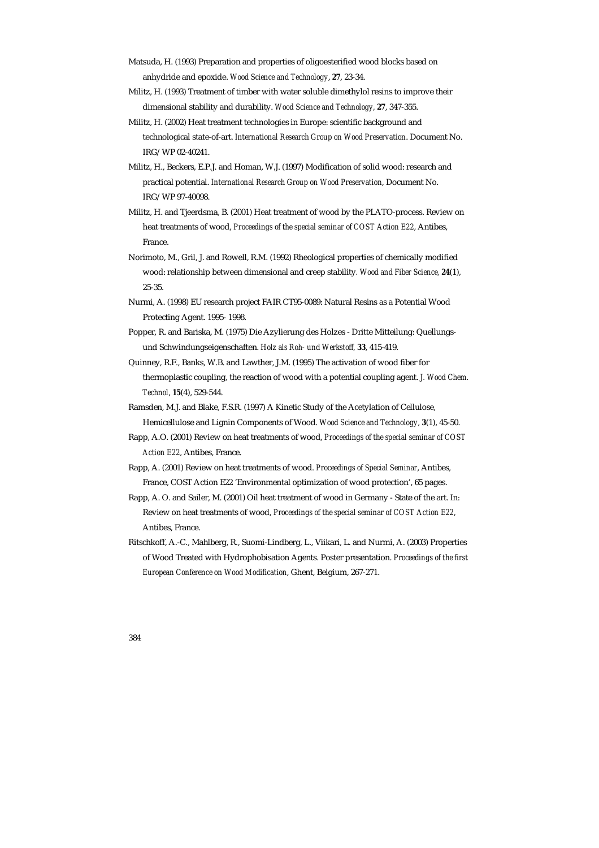- Matsuda, H. (1993) Preparation and properties of oligoesterified wood blocks based on anhydride and epoxide. *Wood Science and Technology*, **27**, 23-34.
- Militz, H. (1993) Treatment of timber with water soluble dimethylol resins to improve their dimensional stability and durability. *Wood Science and Technology,* **27**, 347-355.
- Militz, H. (2002) Heat treatment technologies in Europe: scientific background and technological state-of-art. *International Research Group on Wood Preservation*. Document No. IRG/WP 02-40241.
- Militz, H., Beckers, E.P.J. and Homan, W.J. (1997) Modification of solid wood: research and practical potential. *International Research Group on Wood Preservation*, Document No. IRG/WP 97-40098.
- Militz, H. and Tjeerdsma, B. (2001) Heat treatment of wood by the PLATO-process. Review on heat treatments of wood, *Proceedings of the special seminar of COST Action E22*, Antibes, France.
- Norimoto, M., Gril, J. and Rowell, R.M. (1992) Rheological properties of chemically modified wood: relationship between dimensional and creep stability*. Wood and Fiber Science,* **24**(1), 25-35.
- Nurmi, A. (1998) EU research project FAIR CT95-0089: Natural Resins as a Potential Wood Protecting Agent. 1995- 1998.
- Popper, R. and Bariska, M. (1975) Die Azylierung des Holzes Dritte Mitteilung: Quellungsund Schwindungseigenschaften. *Holz als Roh- und Werkstoff,* **33**, 415-419.
- Quinney, R.F., Banks, W.B. and Lawther, J.M. (1995) The activation of wood fiber for thermoplastic coupling, the reaction of wood with a potential coupling agent. *J. Wood Chem. Technol*, **15**(4), 529-544.
- Ramsden, M.J. and Blake, F.S.R. (1997) A Kinetic Study of the Acetylation of Cellulose, Hemicellulose and Lignin Components of Wood. *Wood Science and Technology*, **3**(1), 45-50.
- Rapp, A.O. (2001) Review on heat treatments of wood, *Proceedings of the special seminar of COST Action E22*, Antibes, France.
- Rapp, A. (2001) Review on heat treatments of wood. *Proceedings of Special Seminar*, Antibes, France, COST Action E22 'Environmental optimization of wood protection', 65 pages.
- Rapp, A. O. and Sailer, M. (2001) Oil heat treatment of wood in Germany State of the art. In: Review on heat treatments of wood, *Proceedings of the special seminar of COST Action E22*, Antibes, France.
- Ritschkoff, A.-C., Mahlberg, R., Suomi-Lindberg, L., Viikari, L. and Nurmi, A. (2003) Properties of Wood Treated with Hydrophobisation Agents. Poster presentation. *Proceedings of the first European Conference on Wood Modification*, Ghent, Belgium, 267-271.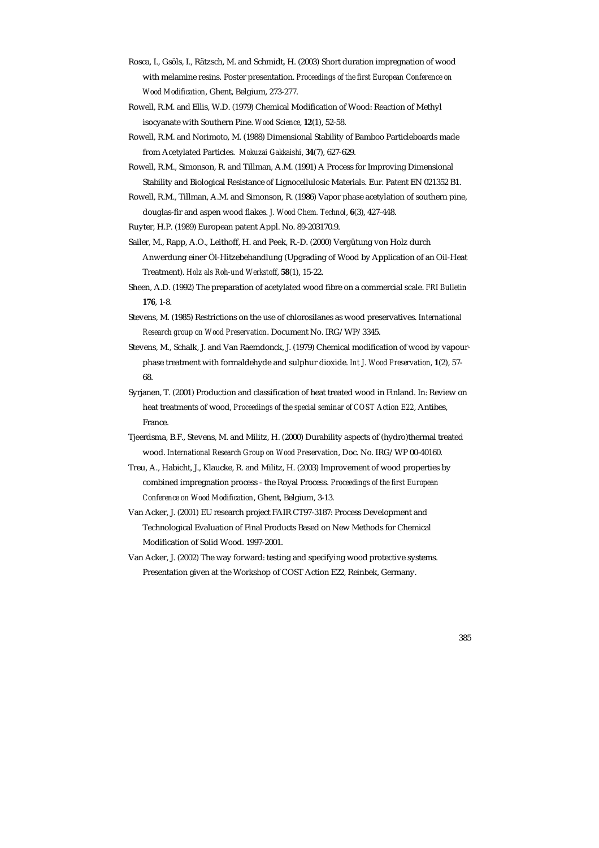- Rosca, I., Gsöls, I., Rätzsch, M. and Schmidt, H. (2003) Short duration impregnation of wood with melamine resins. Poster presentation. *Proceedings of the first European Conference on Wood Modification*, Ghent, Belgium, 273-277.
- Rowell, R.M. and Ellis, W.D. (1979) Chemical Modification of Wood: Reaction of Methyl isocyanate with Southern Pine. *Wood Science*, **12**(1), 52-58.
- Rowell, R.M. and Norimoto, M. (1988) Dimensional Stability of Bamboo Particleboards made from Acetylated Particles. *Mokuzai Gakkaishi*, **34**(7), 627-629.
- Rowell, R.M., Simonson, R. and Tillman, A.M. (1991) A Process for Improving Dimensional Stability and Biological Resistance of Lignocellulosic Materials. Eur. Patent EN 021352 B1.
- Rowell, R.M., Tillman, A.M. and Simonson, R. (1986) Vapor phase acetylation of southern pine, douglas-fir and aspen wood flakes. *J. Wood Chem. Technol*, **6**(3), 427-448.
- Ruyter, H.P. (1989) European patent Appl. No. 89-203170.9.
- Sailer, M., Rapp, A.O., Leithoff, H. and Peek, R.-D. (2000) Vergütung von Holz durch Anwerdung einer Öl-Hitzebehandlung (Upgrading of Wood by Application of an Oil-Heat Treatment). *Holz als Roh-und Werkstoff*, **58**(1), 15-22.
- Sheen, A.D. (1992) The preparation of acetylated wood fibre on a commercial scale. *FRI Bulletin* **176**, 1-8.
- Stevens, M. (1985) Restrictions on the use of chlorosilanes as wood preservatives. *International Research group on Wood Preservation*. Document No. IRG/WP/3345.
- Stevens, M., Schalk, J. and Van Raemdonck, J. (1979) Chemical modification of wood by vapourphase treatment with formaldehyde and sulphur dioxide. *Int J. Wood Preservation*, **1**(2), 57- 68.
- Syrjanen, T. (2001) Production and classification of heat treated wood in Finland. In: Review on heat treatments of wood, *Proceedings of the special seminar of COST Action E22*, Antibes, France.
- Tjeerdsma, B.F., Stevens, M. and Militz, H. (2000) Durability aspects of (hydro)thermal treated wood. *International Research Group on Wood Preservation*, Doc. No. IRG/WP 00-40160.
- Treu, A., Habicht, J., Klaucke, R. and Militz, H. (2003) Improvement of wood properties by combined impregnation process - the Royal Process. *Proceedings of the first European Conference on Wood Modification*, Ghent, Belgium, 3-13.
- Van Acker, J. (2001) EU research project FAIR CT97-3187: Process Development and Technological Evaluation of Final Products Based on New Methods for Chemical Modification of Solid Wood. 1997-2001.
- Van Acker, J. (2002) The way forward: testing and specifying wood protective systems. Presentation given at the Workshop of COST Action E22, Reinbek, Germany.